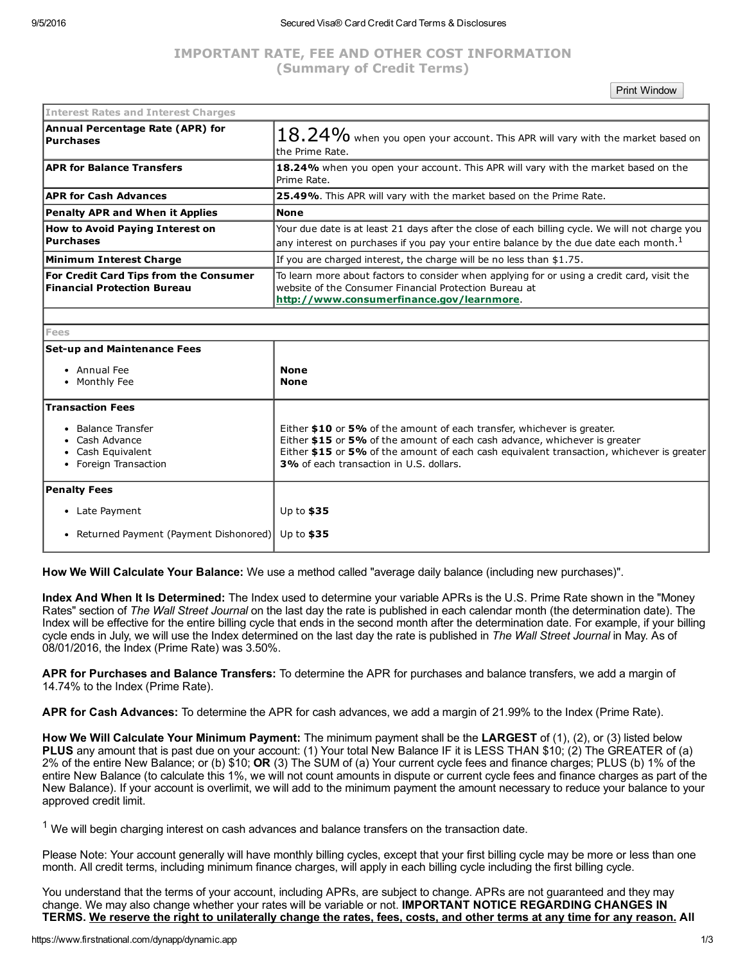### 9/5/2016 Secured Visa® Card Credit Card Terms & Disclosures

# IMPORTANT RATE, FEE AND OTHER COST INFORMATION (Summary of Credit Terms)

Print Window

| <b>Interest Rates and Interest Charges</b>                                   |                                                                                                                                                                                                      |
|------------------------------------------------------------------------------|------------------------------------------------------------------------------------------------------------------------------------------------------------------------------------------------------|
| Annual Percentage Rate (APR) for<br> Purchases                               | $18.24\%$ when you open your account. This APR will vary with the market based on<br>the Prime Rate.                                                                                                 |
| <b>APR for Balance Transfers</b>                                             | 18.24% when you open your account. This APR will vary with the market based on the<br>Prime Rate.                                                                                                    |
| <b>APR for Cash Advances</b>                                                 | 25.49%. This APR will vary with the market based on the Prime Rate.                                                                                                                                  |
| <b>Penalty APR and When it Applies</b>                                       | <b>None</b>                                                                                                                                                                                          |
| <b>How to Avoid Paying Interest on</b><br>Purchases                          | Your due date is at least 21 days after the close of each billing cycle. We will not charge you<br>any interest on purchases if you pay your entire balance by the due date each month. <sup>1</sup> |
| Minimum Interest Charge                                                      | If you are charged interest, the charge will be no less than \$1.75.                                                                                                                                 |
| For Credit Card Tips from the Consumer<br><b>Financial Protection Bureau</b> | To learn more about factors to consider when applying for or using a credit card, visit the<br>website of the Consumer Financial Protection Bureau at<br>http://www.consumerfinance.gov/learnmore.   |
|                                                                              |                                                                                                                                                                                                      |
| Fees                                                                         |                                                                                                                                                                                                      |
| <b>Set-up and Maintenance Fees</b><br>• Annual Fee<br>• Monthly Fee          | <b>None</b><br><b>None</b>                                                                                                                                                                           |
| <b>Transaction Fees</b>                                                      |                                                                                                                                                                                                      |

Either \$10 or 5% of the amount of each transfer, whichever is greater. Either \$15 or 5% of the amount of each cash advance, whichever is greater

Either \$15 or 5% of the amount of each cash equivalent transaction, whichever is greater

How We Will Calculate Your Balance: We use a method called "average daily balance (including new purchases)".

Up to \$35 Up to \$35

Index And When It Is Determined: The Index used to determine your variable APRs is the U.S. Prime Rate shown in the "Money Rates" section of *The Wall Street Journal* on the last day the rate is published in each calendar month (the determination date). The Index will be effective for the entire billing cycle that ends in the second month after the determination date. For example, if your billing cycle ends in July, we will use the Index determined on the last day the rate is published in *The Wall Street Journal* in May. As of 08/01/2016, the Index (Prime Rate) was 3.50%.

3% of each transaction in U.S. dollars.

APR for Purchases and Balance Transfers: To determine the APR for purchases and balance transfers, we add a margin of 14.74% to the Index (Prime Rate).

APR for Cash Advances: To determine the APR for cash advances, we add a margin of 21.99% to the Index (Prime Rate).

How We Will Calculate Your Minimum Payment: The minimum payment shall be the LARGEST of (1), (2), or (3) listed below PLUS any amount that is past due on your account: (1) Your total New Balance IF it is LESS THAN \$10; (2) The GREATER of (a) 2% of the entire New Balance; or (b) \$10; OR (3) The SUM of (a) Your current cycle fees and finance charges; PLUS (b) 1% of the entire New Balance (to calculate this 1%, we will not count amounts in dispute or current cycle fees and finance charges as part of the New Balance). If your account is overlimit, we will add to the minimum payment the amount necessary to reduce your balance to your approved credit limit.

 $1$  We will begin charging interest on cash advances and balance transfers on the transaction date.

Please Note: Your account generally will have monthly billing cycles, except that your first billing cycle may be more or less than one month. All credit terms, including minimum finance charges, will apply in each billing cycle including the first billing cycle.

You understand that the terms of your account, including APRs, are subject to change. APRs are not guaranteed and they may change. We may also change whether your rates will be variable or not. IMPORTANT NOTICE REGARDING CHANGES IN TERMS. We reserve the right to unilaterally change the rates, fees, costs, and other terms at any time for any reason. All

• Balance Transfer Cash Advance Cash Equivalent • Foreign Transaction

Late Payment

• Returned Payment (Payment Dishonored)

Penalty Fees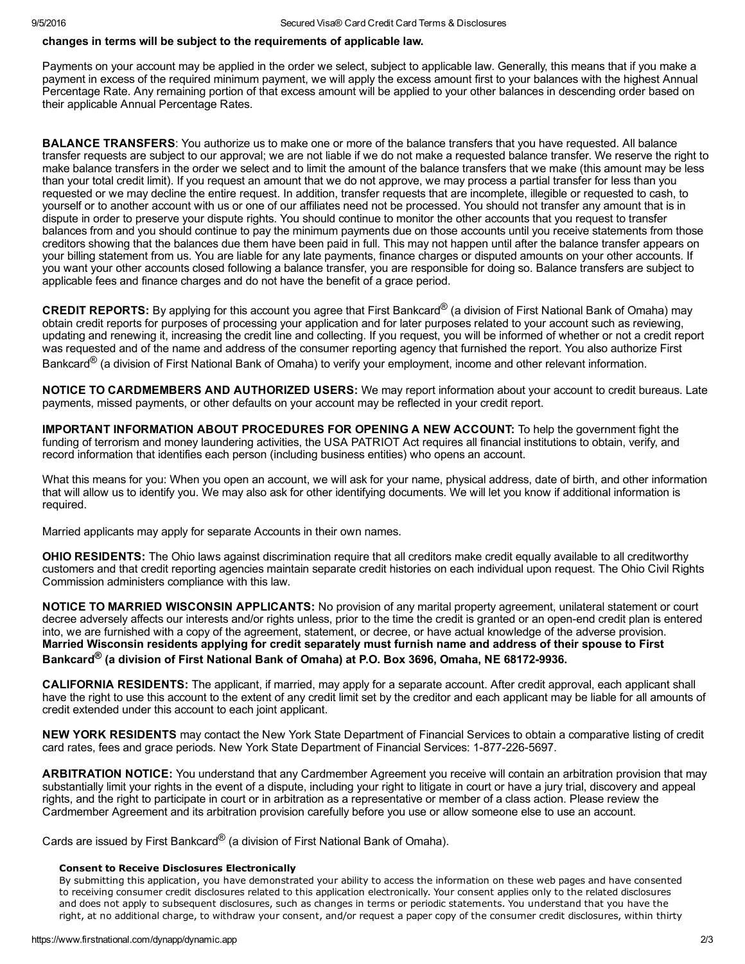# changes in terms will be subject to the requirements of applicable law.

Payments on your account may be applied in the order we select, subject to applicable law. Generally, this means that if you make a payment in excess of the required minimum payment, we will apply the excess amount first to your balances with the highest Annual Percentage Rate. Any remaining portion of that excess amount will be applied to your other balances in descending order based on their applicable Annual Percentage Rates.

**BALANCE TRANSFERS:** You authorize us to make one or more of the balance transfers that you have requested. All balance transfer requests are subject to our approval; we are not liable if we do not make a requested balance transfer. We reserve the right to make balance transfers in the order we select and to limit the amount of the balance transfers that we make (this amount may be less than your total credit limit). If you request an amount that we do not approve, we may process a partial transfer for less than you requested or we may decline the entire request. In addition, transfer requests that are incomplete, illegible or requested to cash, to yourself or to another account with us or one of our affiliates need not be processed. You should not transfer any amount that is in dispute in order to preserve your dispute rights. You should continue to monitor the other accounts that you request to transfer balances from and you should continue to pay the minimum payments due on those accounts until you receive statements from those creditors showing that the balances due them have been paid in full. This may not happen until after the balance transfer appears on your billing statement from us. You are liable for any late payments, finance charges or disputed amounts on your other accounts. If you want your other accounts closed following a balance transfer, you are responsible for doing so. Balance transfers are subject to applicable fees and finance charges and do not have the benefit of a grace period.

**CREDIT REPORTS:** By applying for this account you agree that First Bankcard<sup>®</sup> (a division of First National Bank of Omaha) may obtain credit reports for purposes of processing your application and for later purposes related to your account such as reviewing, updating and renewing it, increasing the credit line and collecting. If you request, you will be informed of whether or not a credit report was requested and of the name and address of the consumer reporting agency that furnished the report. You also authorize First Bankcard<sup>®</sup> (a division of First National Bank of Omaha) to verify your employment, income and other relevant information.

NOTICE TO CARDMEMBERS AND AUTHORIZED USERS: We may report information about your account to credit bureaus. Late payments, missed payments, or other defaults on your account may be reflected in your credit report.

IMPORTANT INFORMATION ABOUT PROCEDURES FOR OPENING A NEW ACCOUNT: To help the government fight the funding of terrorism and money laundering activities, the USA PATRIOT Act requires all financial institutions to obtain, verify, and record information that identifies each person (including business entities) who opens an account.

What this means for you: When you open an account, we will ask for your name, physical address, date of birth, and other information that will allow us to identify you. We may also ask for other identifying documents. We will let you know if additional information is required.

Married applicants may apply for separate Accounts in their own names.

OHIO RESIDENTS: The Ohio laws against discrimination require that all creditors make credit equally available to all creditworthy customers and that credit reporting agencies maintain separate credit histories on each individual upon request. The Ohio Civil Rights Commission administers compliance with this law.

NOTICE TO MARRIED WISCONSIN APPLICANTS: No provision of any marital property agreement, unilateral statement or court decree adversely affects our interests and/or rights unless, prior to the time the credit is granted or an open-end credit plan is entered into, we are furnished with a copy of the agreement, statement, or decree, or have actual knowledge of the adverse provision. Married Wisconsin residents applying for credit separately must furnish name and address of their spouse to First Bankcard<sup>®</sup> (a division of First National Bank of Omaha) at P.O. Box 3696, Omaha, NE 68172-9936.

CALIFORNIA RESIDENTS: The applicant, if married, may apply for a separate account. After credit approval, each applicant shall have the right to use this account to the extent of any credit limit set by the creditor and each applicant may be liable for all amounts of credit extended under this account to each joint applicant.

NEW YORK RESIDENTS may contact the New York State Department of Financial Services to obtain a comparative listing of credit card rates, fees and grace periods. New York State Department of Financial Services: 1-877-226-5697.

ARBITRATION NOTICE: You understand that any Cardmember Agreement you receive will contain an arbitration provision that may substantially limit your rights in the event of a dispute, including your right to litigate in court or have a jury trial, discovery and appeal rights, and the right to participate in court or in arbitration as a representative or member of a class action. Please review the Cardmember Agreement and its arbitration provision carefully before you use or allow someone else to use an account.

Cards are issued by First Bankcard<sup>®</sup> (a division of First National Bank of Omaha).

## Consent to Receive Disclosures Electronically

By submitting this application, you have demonstrated your ability to access the information on these web pages and have consented to receiving consumer credit disclosures related to this application electronically. Your consent applies only to the related disclosures and does not apply to subsequent disclosures, such as changes in terms or periodic statements. You understand that you have the right, at no additional charge, to withdraw your consent, and/or request a paper copy of the consumer credit disclosures, within thirty